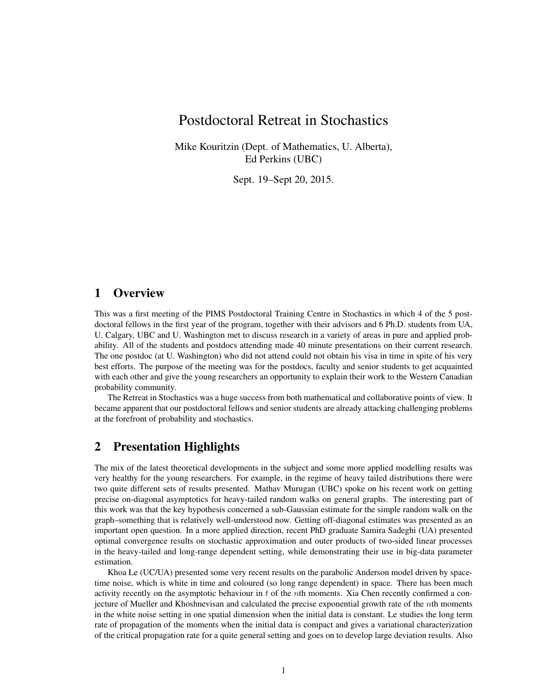# Postdoctoral Retreat in Stochastics

Mike Kouritzin (Dept. of Mathematics, U. Alberta), Ed Perkins (UBC)

Sept. 19–Sept 20, 2015.

## 1 Overview

This was a first meeting of the PIMS Postdoctoral Training Centre in Stochastics in which 4 of the 5 postdoctoral fellows in the first year of the program, together with their advisors and 6 Ph.D. students from UA, U. Calgary, UBC and U. Washington met to discuss research in a variety of areas in pure and applied probability. All of the students and postdocs attending made 40 minute presentations on their current research. The one postdoc (at U. Washington) who did not attend could not obtain his visa in time in spite of his very best efforts. The purpose of the meeting was for the postdocs, faculty and senior students to get acquainted with each other and give the young researchers an opportunity to explain their work to the Western Canadian probability community.

The Retreat in Stochastics was a huge success from both mathematical and collaborative points of view. It became apparent that our postdoctoral fellows and senior students are already attacking challenging problems at the forefront of probability and stochastics.

## 2 Presentation Highlights

The mix of the latest theoretical developments in the subject and some more applied modelling results was very healthy for the young researchers. For example, in the regime of heavy tailed distributions there were two quite different sets of results presented. Mathav Murugan (UBC) spoke on his recent work on getting precise on-diagonal asymptotics for heavy-tailed random walks on general graphs. The interesting part of this work was that the key hypothesis concerned a sub-Gaussian estimate for the simple random walk on the graph–something that is relatively well-understood now. Getting off-diagonal estimates was presented as an important open question. In a more applied direction, recent PhD graduate Samira Sadeghi (UA) presented optimal convergence results on stochastic approximation and outer products of two-sided linear processes in the heavy-tailed and long-range dependent setting, while demonstrating their use in big-data parameter estimation.

Khoa Le (UC/UA) presented some very recent results on the parabolic Anderson model driven by spacetime noise, which is white in time and coloured (so long range dependent) in space. There has been much activity recently on the asymptotic behaviour in  $t$  of the nth moments. Xia Chen recently confirmed a conjecture of Mueller and Khoshnevisan and calculated the precise exponential growth rate of the nth moments in the white noise setting in one spatial dimension when the initial data is constant. Le studies the long term rate of propagation of the moments when the initial data is compact and gives a variational characterization of the critical propagation rate for a quite general setting and goes on to develop large deviation results. Also